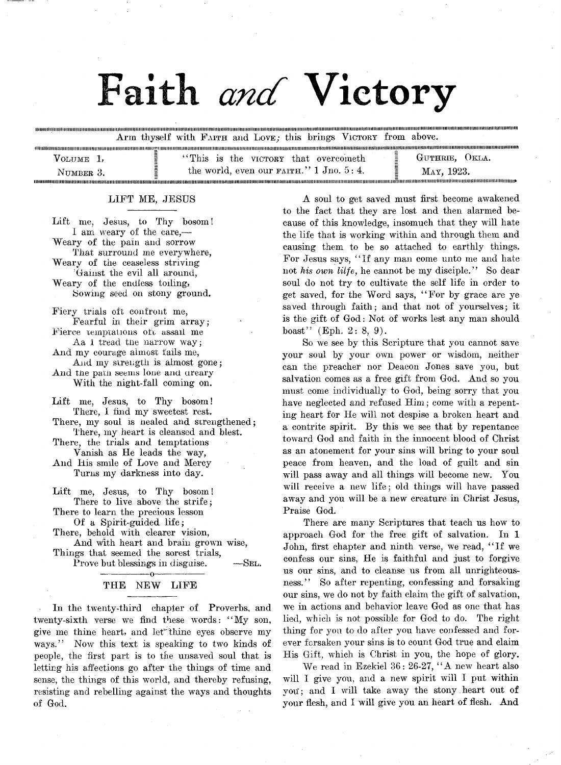# Faith and Victory

llinilllllllllllllllinillllllllllllllllllllllllllllllllllllllllll!IHIlllliIIMIIIIIIIIIinillllUIIMIIIIIIIIIIIIIIIIIMIIIIIIIIIIHUI!IIIIHIIMIIIIIIIIIIIIIIIIIIUMIIIIIIIIIIIIIIIIMIIIHIinilllllllllllllllllIIIIIIIIINIIIIinilllllllUllllllllllllllllllllinillll!lllllllllllllinillHIIIIIIHIIIIIIIIIIIIIIIH!!l!lll Arm thyself with FAITH and LOVE; this brings VICTORY from above.

| VOLUME 1. | "This is the victory that overcometh"              | GUTHRIE, OKLA. |
|-----------|----------------------------------------------------|----------------|
| NUMBER 3. | the world, even our $F\text{AITH.}$ " 1 Jno. 5: 4. | MAY, 1923.     |
|           |                                                    |                |

# LIFT ME, JESUS

Lift me, Jesus, to Thy bosom! I am weary of the care,— Weary of the pain and sorrow

That surround me everywhere, Weary of the ceaseless striving:

'Gainst the evil all around,

Weary of the endless toiling, Sowing seed on stony ground.

Fiery trials oft confront me, Fearful in their grim array;

Fierce temptations oft assail me Aa i tread the narrow way:

And my courage almost fails me, And my strength is almost gone;

And the patn seems lone and areary With the night-fall coming on.

Lift me, Jesus, to Thy bosom! There, I find my sweetest rest.

There, my soul is nealed and strengthened; There, my heart is cleansed and blest.

There, the trials and temptations

Vanish as He leads the way,

And His smile of Love and Mercy Turns my darkness into day.

Lift me, Jesus, to Thy bosom! There to live above the strife; There to learn the precious lesson

Of a Spirit-guided life;

There, behold with clearer vision, And with heart and brain grown wise, Things that seemed the sorest trials,

Prove but blessings in disguise.  $-$ SEL.

# -------- :------- o----------------- THE NEW LIFE

In the twenty-third chapter of Proverbs, and twenty-sixth verse we find these words: "My son, give me thine heart, and let thine eyes observe my ways." Now this text is speaking to two kinds of people, the first part is to the unsaved soul that is letting his affections go after the things of time and sense, the things of this world, and thereby refusing, resisting and rebelling against the ways and thoughts of God.

A soul to get saved must first become awakened to the fact that they are lost and then alarmed because of this knowledge, insomuch that they will hate the life that is working within and through them and causing them to be so attached to earthly things. For Jesus says, " If any man come unto me and hate not *his own lilfe,* he cannot be my disciple." So dear soul do not try to cultivate the self life in order to get saved, for the Word says, " For by grace are ye saved through faith; and that not of yourselves; it is the gift of God: Not of works lest any man should boast" (Eph. 2: 8, 9).

So we see by this Scripture that you cannot save your soul by your own power or wisdom, neither can the preacher nor Deacon Jones save you, but salvation comes as a free gift from God. And so you must come individually to God, being sorry that you have neglected and refused Him; come with a repenting heart for He will not despise a broken heart and a contrite spirit. By this we see that by repentance toward God and faith in the innocent blood of Christ as an atonement for your sins will bring to your soul peace from heaven, and the load of guilt and sin will pass away and all things will become new. You will receive a new life; old things will have passed away and you will be a new creature in Christ Jesus, Praise God.

There are many Scriptures that teach us how to approach God for the free gift of salvation. In 1 John, first chapter and ninth verse, we read, " If we confess our sins, He is faithful and just to forgive us our sins, and to cleanse us from all unrighteousness." So after repenting, confessing and forsaking our sins, we do not by faith claim the gift of salvation, we in actions and behavior leave God as one that has lied, which is not possible for God to do. The right thing for you to do after you have confessed and forever forsaken your sins is to count God true and claim His Gift, which is Christ in you, the hope of glory.

We read in Ezekiel 36: 26-27, " A new heart also will I give you, and a new spirit will I put within vou: and I will take away the stony heart out of your flesh, and I will give you an heart of flesh. And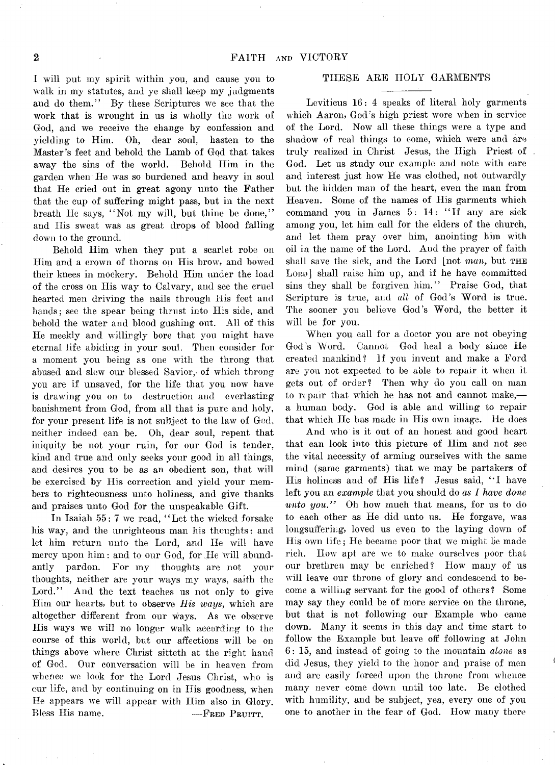I will put my spirit within you, and cause you to walk in my statutes, and ye shall keep my judgments and do them." By these Scriptures we see that the work that is wrought in us is wholly the work of God, and we receive the change by confession and yielding to Him. Oh, dear soul, hasten to the Master's feet and behold the Lamb of God that takes away the sins of the world. Behold Him in the garden when He was so burdened and heavy in soul that He cried out in great agony unto the Father that the *cup* of suffering might pass, but in the next breath He says, "Not my will, but thine be done," and His sweat was as great drops of blood falling down to the ground.

Behold Him when they put a scarlet robe on Him and a crown of thorns on His brow, and bowed their knees in mockery. Behold Him under the load of the cross on His way to Calvary, and see the cruel hearted men driving the nails through His feet and hands; see the spear being thrust into His side, and behold the water and blood gushing out. All of this He meekly and willingly bore that you might have eternal life abiding in your soul. Then consider for a moment you being as one with the throng that abused and slew our blessed Savior, of which throng you are if unsaved, for the life that you now have is drawing you on to destruction and everlasting banishment from God, from all that is pure and holy, for your present life is not subject to the law of God, neither indeed can be. Oh, dear soul, repent that iniquity be not your ruin, for our God is tender, kind and true and only seeks your good in all things, and desires you to be as an obedient son, that will be exercised by His correction and yield your members to righteousness unto holiness, and give thanks and praises unto God for the unspeakable Gift.

In Isaiah 55: 7 we read, "Let the wicked forsake his way, and the unrighteous man his thoughts: and let him return unto the Lord, and He will have mercy upon him : and to our God, for He will abundantly pardon. For my thoughts are not your thoughts, neither are your ways my ways, saith the Lord." And the text teaches us not only to give Him our hearts, but to observe *His ways,* which are altogether different from our ways. As we observe His ways we will no longer walk according to the course of this world, but our affections will be on things above where Christ sitteth at the right hand of God. Our conversation will be in heaven from whence we look for the Lord Jesus Christ, who is cur life, and by continuing on in His goodness, when He appears we will appear with Him also in Glory. Bless His name. — FRED PRUITT.

# THESE ARE HOLY GARMENTS

Leviticus 16: 4 speaks of literal holy garments which Aaron, God 's high priest wore when in service of the Lord. Now all these things were a type and shadow of real things to come, which were and are truly realized in Christ Jesus, the High Priest of God. Let us study our example and note with care and interest just how He was clothed, not outwardly but the hidden man of the heart, even the man from Heaven. Some of the names of His garments which command you in James 5: 14: "If any are sick among you, let him call for the elders of the church, and let them pray over him, anointing him with oil in the name of the Lord. And the prayer of faith shall save the sick, and the Lord (not *man*, but THE LORD] shall raise him up, and if he have committed sins they shall be forgiven him." Praise God, that Scripture is true, and *all* of God's Word is true. The sooner you believe God's Word, the better it will be for you.

When you call for a doctor you are not obeying God's Word. Cannot God heal a body since He created mankind? If you invent and make a Ford are you not expected to be able to repair it when it gets out of order? Then why do you call on man to repair that which he has not and cannot make, a human body. God is able and willing to repair that which He has made in His own image. He does

And who is it out of an honest and good heart that can look into this picture of Him and not see the vital necessity of arming ourselves with the same mind (same garments) that we may be partakers of His holiness and of His life? Jesus said, "I have left you an *example* that you should do *as I have done unto you.*" Oh how much that means, for us to do to each other as He did unto us. He forgave, was longsuffering, loved us even to the laying down of His own life; He became poor that we might be made rich. Ilow apt are we to make ourselves poor that our brethren may be enriched? How many of us will leave our throne of glory and condescend to become a willing servant for the good of others? Some may say they could be of more service on the throne, but that is not following our Example who came down. Many it seems in this day and time start to follow the Example but leave off following at John 6 : 15, and instead of going to the mountain *alone* as did Jesus, they yield to the honor and praise of men and are easily forced upon the throne from whence many never come down until too late. Be clothed with humility, and be subject, yea, every one of you one to another in the fear of God. How many there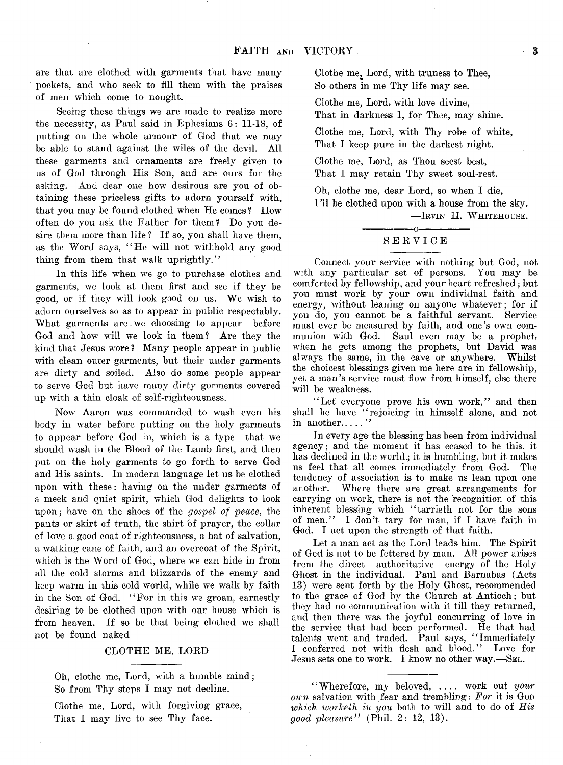are that are clothed with garments that have many pockets, and who seek to fill them with the praises of men which come to nought.

Seeing these things we are made to realize more the necessity, as Paul said in Ephesians  $6: 11-18$ , of putting on the whole armour of God that we may be able to stand against the wiles of the devil. All these garments and ornaments are freely given to us of God through His Son, and are ours for the asking. And dear one how desirous are you of obtaining these priceless gifts to adorn yourself with, that you may be found clothed when He comes ? How often do you ask the Father for them? Do you desire them more than life? If so, you shall have them, as the Word says, "He will not withhold any good thing from them that walk uprightly."

In this life when we go to purchase clothes and garments, we look at them first and see if they be good, or if they will look good on us. We wish to adorn ourselves so as to appear in public respectably. What garments are. we choosing to appear before God and how will we look in them? Are they the kind that Jesus wore ? Many people appear in public with clean outer garments, but their under garments are dirty and soiled. Also do some people appear to serve God but have many dirty gorments covered up with a thin cloak of self-righteousness.

Now Aaron was commanded to wash even his body in water before putting on the holy garments to appear before God in, which is a type that we should wash in the Blood of the Lamb first, and then put on the holy garments to go forth to serve God and His saints. In modern language let us be clothed upon with these: having on the under garments of a meek and quiet spirit, which God delights to look upon; have on the shoes of the *gospel of peace,* the pants or skirt of truth, the shirt of prayer, the collar of love a good coat of righteousness, a hat of salvation, a walking cane of faith, and an overcoat of the Spirit, which is the Word of God, where we can hide in from all the cold storms and blizzards of the enemy and keep warm in this cold world, while we walk by faith in the Son of God. " For in this we groan, earnestly desiring to be clothed upon with our house which is from heaven. If so be that being clothed we shall not be found naked

#### CLOTHE ME, LORD

Oh, clothe me, Lord, with a humble mind; So from Thy steps I may not decline.

Clothe me, Lord, with forgiving grace, That I may live to see Thy face.

Clothe me; Lord, with truness to Thee, So others in me Thy life may see.

Clothe me, Lord, with love divine, That in darkness I, for Thee, may shine.

Clothe me, Lord, with Thy robe of white, That I keep pure in the darkest night.

Clothe me, Lord, as Thou seest best, That I may retain Thy sweet soul-rest.

Oh, clothe me, dear Lord, so when I die, 1 T1 be clothed upon with a house from the sky. — Irvin H. W hitehouse.

# -----------------o----------------- S ERVICE

Connect your service with nothing but God, not with any particular set of persons. You may be comforted by fellowship, and your heart refreshed; but you must work by your own individual faith and energy, without leaning on anyone whatever; for if you do, you cannot be a faithful servant. Service must ever be measured by faith, and one's own communion with God. Saul even may be a prophet, when he gets among the prophets, but David was always the same, in the cave or anywhere. Whilst the choicest blessings given me here are in fellowship, yet a man's service must flow from himself, else there will be weakness.

"Let everyone prove his own work," and then shall he have " rejoicing in himself alone, and not in another.....

In every age the blessing has been from individual agency; and the moment it has ceased to be this, it has declined in the world; it is humbling, but it makes us feel that all comes immediately from God. The tendency of association is to make us lean upon one another. Where there are great arrangements for carrying on work, there is not the recognition of this inherent blessing which "tarrieth not for the sons of men." I don't tary for man, if I have faith in God. I act upon the strength of that faith.

Let a man act as the Lord leads him. The Spirit of God is not to be fettered by man. All power arises from the direct authoritative energy of the Holy Ghost in the individual. Paul and Barnabas (Acts 13) were sent forth by the Holy Ghost, recommended to the grace of God by the Church at Antioch; but they had no communication with it till they returned, and then there was the joyful concurring of love in the service that had been performed. He that had talents went and traded. Paul says, " Immediately I conferred not with flesh and blood." Love for Jesus sets one to work. I know no other way.-SEL.

**" Wherefore, my beloved, .... work out** *your own* **salvation with fear and trembling:** *For* **it is God** *which worheth in you* **both to will and to do of** *His good pleasure"* (Phil. 2: 12, 13).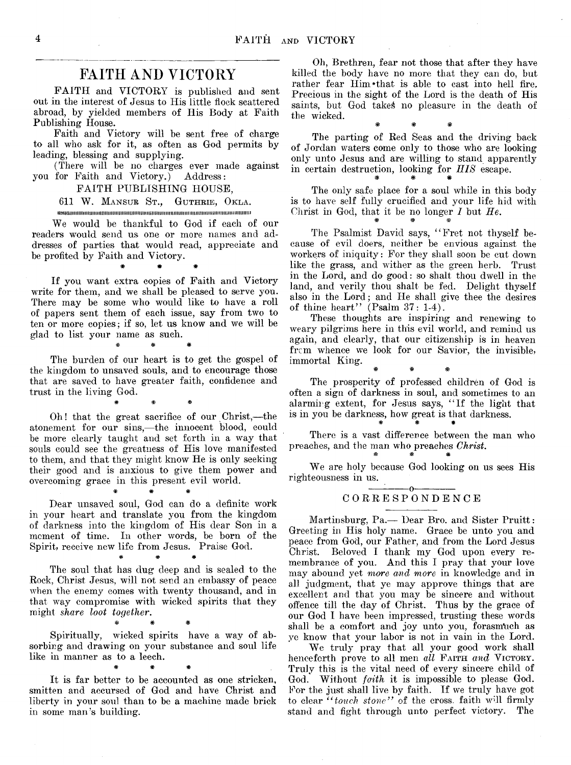# **FAITH AND VICTORY**

FAITH and VICTORY is published and sent out in the interest of Jesus to His little flock scattered abroad, by yielded members of His Body at Faith Publishing House.

Faith and Victory will be sent free of charge to all who ask for it, as often as God permits by leading, blessing and supplying.

(There will be no charges ever made against you for Faith and Victory.) Address:

FAITH PUBLISHING HOUSE,

611 W. Mansur St., Guthrie, Okla.

iimiiiiiiiiiiiiiiiiiiiiiiiiiiiimiiiiiiiiiiiiiimiiimiiimimmiimimmiiiimiiiiiiiiiiiiiimiiiiiiiiimiim

We would be thankful to God if each of our readers would send us one or more names and addresses of parties that would read, appreciate and be profited by Faith and Victory.

# # #

If you want extra copies of Faith and Victory write for them, and we shall be pleased to serve you. There may be some who would like to have a roll of papers sent them of each issue, say from two to ten or more copies; if so, let us know and we will be glad to list your name as such.

# # #

The burden of our heart is to get the gospel of the kingdom to unsaved souls, and to encourage those that are saved to have greater faith, confidence and trust in the living God.

\* # \*

Oh! that the great sacrifice of our Christ,— the atonement for our sins,—the innocent blood, could be more clearly taught and set forth in a way that souls could see the greatness of His love manifested to them, and that they might know He is only seeking their good and is anxious to give them power and overcoming grace in this present evil world.

Dear unsaved soul, God can do a definite work in your heart and translate you from the kingdom of darkness into the kingdom of His dear Son in a moment of time. In other words, be born of the Spirit, receive new life from Jesus. Praise God.

# # #

# # #

The soul that has dug deep and is sealed to the Rock, Christ Jesus, will not send an embassy of peace when the enemy comes with twenty thousand, and in that way compromise with wicked spirits that they might *share loot together.*

 $\mathscr H$  and  $\mathscr H$ 

Spiritually, wicked spirits have a way of absorbing and drawing on your substance and soul life like in manner as to a leech. # # #

It is far better to be accounted as one stricken, smitten and accursed of God and have Christ and liberty in your soul than to be a machine made brick in some man's building.

Oh, Brethren, fear not those that after they have killed the body have no more that they can do, but rather fear Him \*that is able to cast into hell fire. Precious in the sight of the Lord is the death of His saints, but God takes no pleasure in the death of the wicked. # # \*

The parting of Red Seas and the driving back of Jordan waters come only to those who are looking only unto Jesus and are willing to stand apparently in certain destruction, looking for *IIIS* escape.

The only safe place for a soul while in this body is to have self fully crucified and your life hid with Christ in God, that it be no longer  $I$  but  $He$ .

The Psalmist David says, " Fret not thyself because of evil doers, neither be envious against the workers of iniquity: For they shall soon be cut down like the grass, and wither as the green herb. Trust in the Lord, and do good: so shalt thou dwell in the land, and verily thou shalt be fed. Delight thyself also in the Lord; and He shall give thee the desires of thine heart" (Psalm 37: 1-4).

These thoughts are inspiring and renewing to weary pilgrims here in this evil world, and remind us again, and clearly, that our citizenship is in heaven from whence we look for our Savior, the invisible, immortal King.

The prosperity of professed children of God is often a sign of darkness in soul, and sometimes to an alarming extent, for Jesus says, " If the light that is in you be darkness, how great is that darkness.

AS\* WWW

There is a vast difference between the man who preaches, and the man who preaches *Christ*.

We are holy because God looking on us sees His righteousness in us.

#### $-0-$ C ORRESPONDENCE

Martinsburg, Pa.— Dear Bro. and Sister Pruitt: Greeting in His holy name. Grace be unto you and peace from God, our Father, and from the Lord Jesus Christ. Beloved I thank my God upon every remembrance of you. And this I pray that your love may abound yet *more and more* in knowledge and in all judgment, that ye may approve things that are excellent and that you may be sincere and without offence till the day of Christ. Thus by the grace of our God I have been impressed, trusting these words shall be a comfort and joy unto you, forasmuch as ye know that your labor is not in vain in the Lord.

We truly pray that all your good work shall henceforth prove to all men *all* FAITH and VICTORY. Truly this is the vital need of every sincere child of God. Without *faith* it is impossible to please God. For the just shall live by faith. If we truly have got to clear  $i$  touch stone" of the cross, faith will firmly stand and fight through unto perfect victory. The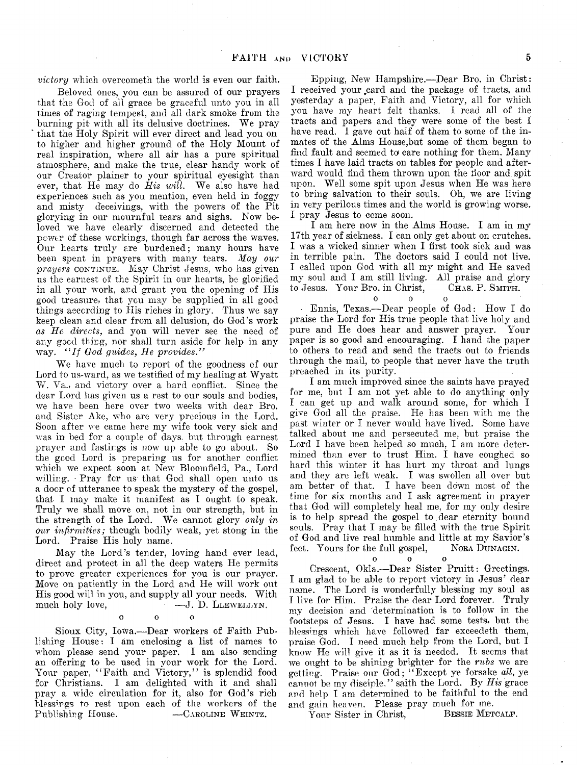*victory* which overcometh the world is even our faith.

Beloved ones, you can be assured of our prayers that the God of all grace be graceful unto you in all times of raging tempest, and all dark smoke from the burning pit with all its delusive doctrines. We pray that the Holy Spirit will ever direct and lead you on to higher and higher ground of the Holy Mount of real inspiration, where all air has a pure spiritual atmosphere, and make the true, clear handy work of our Creator plainer to your spiritual eyesight than ever, that He may do *His will*. We also have had experiences such as you mention, even held in foggy and misty deceivings, with the powers of the Pit glorying in our mournful tears and sighs. Now beloved we have clearly discerned and detected the power of these workings, though far across the waves. Our hearts truly are burdened; many hours have been spent in prayers with many tears. *May our* prayers continue. May Christ Jesus, who has given us the earnest of the Spirit in our hearts, be glorified in all your work, and grant you the opening of His good treasure, that you may be supplied in all good things according to His riches in glory. Thus we say keep clean and clear from all delusion, do God's work *as He directs,* and you will never see the need of any good thing, nor shall turn aside for help in any way. *"If God guides, He provides."* 

We have much to report of the goodness of our Lord to us-ward, as we testified of my healing at Wyatt W. Va., and victory over a hard conflict. Since the dear Lord has given us a rest to our souls and bodies, we have been here over two weeks with dear Bro. and Sister Ake, who are very precious in the Lord. Soon after we came here my wife took very sick and was in bed for a couple of days, but through earnest prayer and fastings is now up able to go about. So the good Lord is preparing us for another conflict which we expect soon at New Bloomfield, Pa., Lord willing. Pray for us that God shall open unto us a door of utterance to speak the mystery of the gospel, that I may make it manifest as I ought to speak. Truly we shall move on, not in our strength, but in the strength of the Lord. We cannot glory *only in our infirmities;* though bodily weak, yet stong in the Lord. Praise His holy name.

May the Lord's tender, loving hand ever lead, direct and protect in all the deep waters He permits to prove greater experiences for you is our prayer. Move on patiently in the Lord and He will work out His good will in you, and supply all your needs. With much holy love, — J. D. Llewellyn.

o o o

Sioux City, Iowa.— Dear workers of Faith Publishing House: I am enclosing a list of names to whom please send your paper. I am also sending an offering to be used in your work for the Lord. Your paper, " Faith and Victory," is splendid food for Christians. I am delighted with it and shall pray a wide circulation for it, also for God's rich blessings to rest upon each of the workers of the Publishing House. — CAROLINE WEINTZ.

Epping, New Hampshire.— Dear Bro. in Christ: I received your card and the package of tracts, and yesterday a paper, Faith and Victory, all for which you have my heart felt thanks. I read all of the tracts and papers and they were some of the best I have read. 1 gave out half of them to some of the inmates of the Alms House,but some of them began to find fault and seemed to care nothing for them. Many times I have laid tracts on tables for people and afterward would find them thrown upon the floor and spit upon. Well some spit upon Jesus when He was here to bring salvation to their souls. Oh, we are living in *Yery* perilous times and the world is growing worse. I pray Jesus to come soon.

I am here now in the Alms House. I am in my 17th year of sickness. I can only get about on crutches. I was a wicked sinner when I first took sick and was in terrible pain. The doctors said I could not live. I called upon God with all my might and He saved my soul and I am still living. All praise and glory to Jesus. Your Bro. in Christ, CHAS. P. SMITH.

 $\begin{bmatrix} 0 & 0 \\ 0 & 0 \end{bmatrix}$ • Ennis, Texas.— Dear people of God: How I do praise the Lord for His true people that live holy and pure and He does hear and answer prayer. Your paper is so good and encouraging. I hand the paper to others to read and send the tracts out to friends through the mail, to people that never have the truth preached in its purity.

I am much improved since the saints have prayed for me, but I am not yet able to do anything only I can get up and walk around some, for which I give God all the praise. He has been with me the past winter or I never would have lived. Some have talked about me and persecuted me, but praise the Lord I have been helped so much, I am more determined than ever to trust Him. I have coughed so hard this winter it has hurt my throat and lungs and they are left weak. I was swollen all over but am better of that. I have been down most of the time for six months and I ask agreement in prayer that God will completely heal me, for my only desire is to help spread the gospel to dear eternity bound souls. Pray that I may be filled with the true Spirit of God and live real humble and little at my Savior's feet. Yours for the full gospel, Nora Dunagin.

 $\Omega$ ooo Crescent, Okla.— Dear Sister Pruitt: Greetings. I am glad to be able to report victory in Jesus' dear name. The Lord is wonderfully blessing my soul as I live for Him. Praise the dear Lord forever. Truly my decision and determination is to follow in the footsteps of Jesus. I have had some tests, but the blessings which have followed far exceedeth them, praise God. I need much help from the Lord, but I know He will give it as it is needed. It seems that we ought to be shining brighter for the *rubs* we are getting. Praise our God; " Except ye forsake *all*, ye cannot be my disciple," saith the Lord. By *His* grace and help I am determined to be faithful to the end

and gain heaven. Please pray much for me. Your Sister in Christ,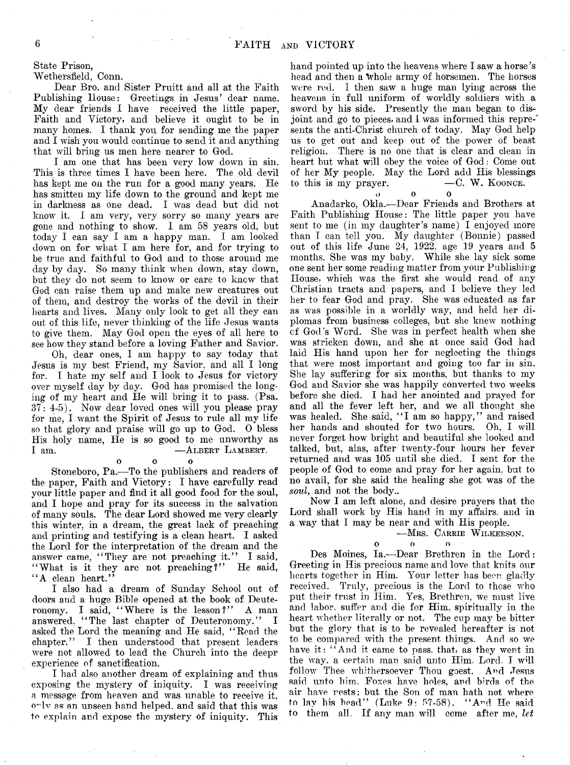State Prison,

Wethersfield, Conn.

Dear Bro. and Sister Pruitt and all at the Faith Publishing House: Greetings in Jesus' dear name. My dear friends I have received the little paper, Faith and Victory, and believe it ought to be in many homes. I thank you for sending me the paper and I wish you would continue to send it and anything that will bring us men here nearer to God.

I am one that has been very low down in sin. This is three times I have been here. The old devil has kept me on the run for a good many years. He has smitten my life down to the ground and kept me in darkness as one dead. I was dead but did not know it. I am very, very sorry so many years are gone and nothing to show. I am 58 years old, but today I can say I am a happy man. I am looked down on for what I am here for, and for trying to be true and faithful to God and to those around me day by day. So many think when down, stay down, but they do not seem to know or care to knew that God can raise them up and make new creatures out of them, and destroy the works of the devil in their hearts and lives. Many only look to get all they can out of this life, never thinking of the life Jesus wants to give them. May God open the eyes of all here to see how they stand before a loving Father and Savior.

Oh, dear ones, I am happy to say today that Jesus is my best Friend, my Savior, and all I long for. I hate my self and I look to Jesus for victory over myself day by day. God has promised the longing of my heart and He will bring it to pass. (Psa.  $37: 4-5$ . Now dear loved ones will you please pray for me, I want the Spirit of Jesus to rule all my life so that glory and praise will go up to God. 0 bless His holy name, He is so good to me unworthy as I am.  $-$  ALBERT LAMBERT.

o o o

 $\Omega$ 

Stoneboro, Pa.— To the publishers and readers of the paper, Faith and Victory: I have carefully read your little paper and find it all good food for the soul, and I hope and pray for its success in the salvation of many souls. The dear Lord showed me very clearly this winter, in a dream, the great lack of preaching and printing and testifying is a clean heart. I asked the Lord for the interpretation of the dream and the answer came, "They are not preaching it." I said, "What is it they are not preaching?" He said, "A clean heart."

I also had a dream of Sunday School out of doors and a huge Bible opened at the book of Deuteronomy. I said, "Where is the lesson?" A man answered. "The last chapter of Deuteronomy." I asked the Lord the meaning and He said, " Read the chapter." I then understood that present leaders were not allowed to lead the Church into the deepr experience of sanctification.

I had also another dream of explaining and thus exposing the mystery of iniquity. I was receiving a message from heaven and was unable to receive it, o^lv as an unseen hand helped, and said that this was to explain and expose the mystery of iniquity. This hand pointed up into the heavens where I saw a horse's head and then a whole army of horsemen. The horses were red. I then saw a huge man lying across the heavens in full uniform of worldly soldiers with a sword by his side. Presently the man began to disjoint and go to pieces, and I was informed this represents the anti-Christ church of today. May God help us to get out and keep out of the power of beast religion. There is no one that is clear and clean in heart but what will obey the voice of God: Come out of her My people. May the Lord add His blessings to this is my prayer.  $\hspace{1.6cm}$   $\hspace{1.6cm}$   $\hspace{1.6cm}$   $\hspace{1.6cm}$   $\hspace{1.6cm}$   $\hspace{1.6cm}$   $\hspace{1.6cm}$   $\hspace{1.6cm}$   $\hspace{1.6cm}$   $\hspace{1.6cm}$   $\hspace{1.6cm}$   $\hspace{1.6cm}$   $\hspace{1.6cm}$   $\hspace{1.6cm}$   $\hspace{1.6cm}$   $\hspace{1.6cm}$   $\hspace{1.$ 

o o o

Anadarko, Okla.—Dear Friends and Brothers at Faith Publishing House: The little paper you have sent to me (in my daughter's name) I enjoyed more than I can tell you. My daughter (Bonnie) passed out of this life June 24, 1922, age 19 years and 5 months. She was my baby. While she lay sick some one sent her some reading matter from your Publishing House, which was the first she would read of any Christian tracts and papers, and I believe they led her to fear God and pray. She was educated as far as was possible in a worldly way, and held her diplomas from business colleges, but she knew nothing of God's Word. She was in perfect health when she was stricken down, and she at once said God had laid His hand upon her for neglecting the things that were most important and going too far in sin. She lay suffering for six months, but thanks to my God and Savior she was happily converted two weeks before she died. I had her anointed and prayed for and all the fever left her, and we all thought she was healed. She said, " I am so happy," and raised her hands and shouted for two hours. Oh, I will never forget how bright and beautiful she looked and talked, but, alas, after twenty-four hours her fever returned and was 105 until she died. I sent for the people of God to come and pray for her again, but to no avail, for she said the healing she got was of the *soul,* and not the body..

Now I am left alone, and desire prayers that the Lord shall work by His hand in my affairs, and in a *way* that I may be near and with His people.

-MRS. CARRIE WILKERSON.

### o o o

Des Moines, la.— Dear Brethren in the Lord: Greeting in His precious name and love that knits our hearts together in Him. Your letter has been gladly received. Truly, precious is the Lord to those who put their trust in Him. Yes, Brethren, we must live, and labor, suffer and die for Him, spiritually in the heart whether literally or not. The cup may be bitter but the glory that is to be revealed hereafter is not to be compared with the present things. And so we have it: "And it came to pass, that, as they went in the way. a certain man said unto Him. Lord. I will follow Thee whithersoever Thou goest. And Jesus said unto him. Foxes have holes, and birds of the air have rests; but the Son of man hath not where to lay his head" (Luke 9: 57-58). "And He said to them all. If any man will come after me, *let*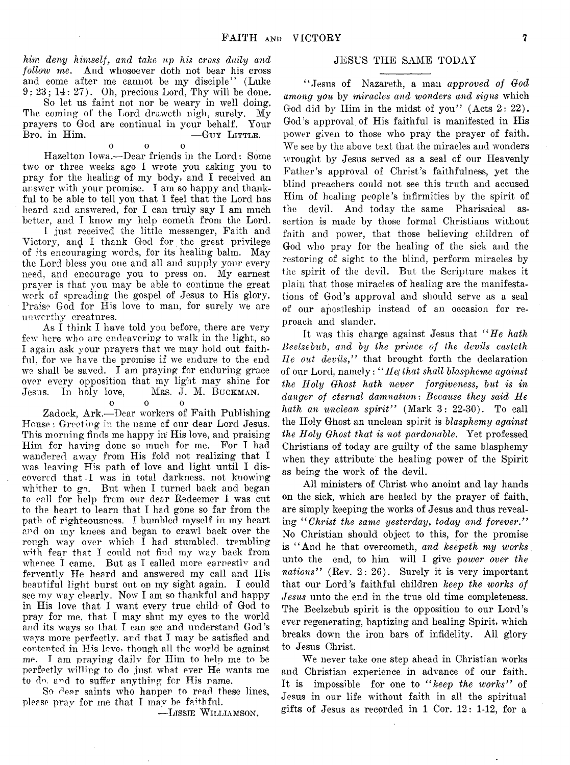*him deny himself, and take up his cross daily and follow me.* And whosoever doth not bear his cross and come after me cannot be my disciple" (Luke  $9: 23: 14: 27$ . Oh, precious Lord, Thy will be done.

So let us faint not nor be weary in well doing. The coming of the Lord draweth nigh, surely. My prayers to God are continual in your behalf. Your  $B_{\text{ro. in Him.}}$   $-G_{\text{UV LITPLE.}}$ 

o o o

Hazelton Iowa.—Dear friends in the Lord: Some two or three weeks ago I wrote you asking you to pray for the healing of my body, and I received an answer with your promise. I am so happy and thankful to be able to tell you that I feel that the Lord has heard and answered, for I can truly say I am much better, and I know my help cometh from the Lord. 1 just received the little messenger, Faith and Victory, and I thank God for the great privilege of its encouraging words, for its healing balm. May the Lord bless you one and all and supply your every need, and encourage you to press on. My earnest prayer is that you may be able to continue the great work of spreading the gospel of Jesus to His glory. Praise God for His love to man, for surely we are unworthy creatures.

As I think I have told you before, there are very few here who are endeavoring to walk in the light, so I again ask your prayers that we may hold out faithful. for we have the promise if we endure to the end we shall be saved. I am praying for enduring grace over every opposition that my light may shine for<br>Jesus. In holy love, Mrs. J. M. BUCKMAN. Jesus. In holy love,

#### $\mathbf{o}$

Zadock, Ark.— Dear workers of Faith Publishing House: Greeting in the name of our dear Lord Jesus. This morning finds me happy in His love, and praising Him for having done so much for me. For I had wandered away from His fold not realizing that I was leaving His path of love and light until I discovered that I was in total darkness, not knowing whither to go. But when I turned back and began to call for help from our dear Redeemer I was cut to the heart to learn that I had gone so far from the path of righteousness. I humbled myself in my heart and on my knees and began to crawl back over the rough way over which  $\overline{I}$  had stumbled, trembling with fear that I could not find my way back from whence I came. But as I called more earnestly and fervently He heard and answered my call and His beautiful light burst out on my sight again. I could see my way clearly. Now I am so thankful and happy in His love that I want every true child of God to pray for me, that T may shut my eyes to the world and its ways so that I can see and understand God's ways more perfectly, and that I may be satisfied and contented in His love, though all the world be against me. I am praying daily for Him to help me to be perfectly willing to do just what ever He wants me to do. and to suffer anything for His name.

So dear saints who happen to read these lines, please pray for me that I may be faithful.

—Lissie W illiamson.

# JESUS THE SAME TODAY

" Jesus of Nazareth, a man *approved of God among you* by *miracles and wonders and signs* which God did by Him in the midst of you" (Acts  $2: 22$ ). God's approval of His faithful is manifested in His power given to those who pray the prayer of faith. We see by the above text that the miracles and wonders wrought by Jesus served as a seal of our Heavenly Father's approval of Christ's faithfulness, yet the blind preachers could not see this truth and accused Him of healing people's infirmities by the spirit of the devil. And today the same Pharisaical assertion is made by those formal Christians without faith and power, that those believing children of God who pray for the healing of the sick and the restoring of sight to the blind, perform miracles by the spirit of the devil. But the Scripture makes it plain that those miracles of healing are the manifestations of God's approval and should serve as a seal of our apostleship instead of an occasion for reproach and slander.

It was this charge against Jesus that *" He hath Beelzebub, and by the prince of the devils casteth lie out devils,"* that brought forth the declaration of our Lord, namely: " *Hefthat shall blaspheme against the Holy Ghost hath never forgiveness, but is in danger of eternal damnation*: *Because they said He hath an unclean spirit"* (Mark 3: 22-30). To call the Holy Ghost an unclean spirit is *blasphemy against the Holy Ghost that is not pardonable.* Yet professed Christians of today are guilty of the same blasphemy when they attribute the healing power of the Spirit as being the work of the devil.

All ministers of Christ who anoint and lay hands on the sick, which are healed by the prayer of faith, are simply keeping the works of Jesus and thus revealing " *Christ the same yesterday, today and forever."* No Christian should object to this, for the promise is " And he that overeometh, *and keepeth my works.* unto the end, to him will I give *power over the* nations" (Rev. 2: 26). Surely it is very important that our Lord's faithful children *keep the works of Jesus* unto the end in the true old time completeness. The Beelzebub spirit is the opposition to our Lord's ever regenerating, baptizing and healing Spirit, which breaks down the iron bars of infidelity. All glory to Jesus Christ.

We never take one step ahead in Christian works and Christian experience in advance of our faith. It is impossible for one to " *keep the works"* of Jesus in our life without faith in all the spiritual gifts of Jesus as recorded in 1 Cor. 12: 1-12, for a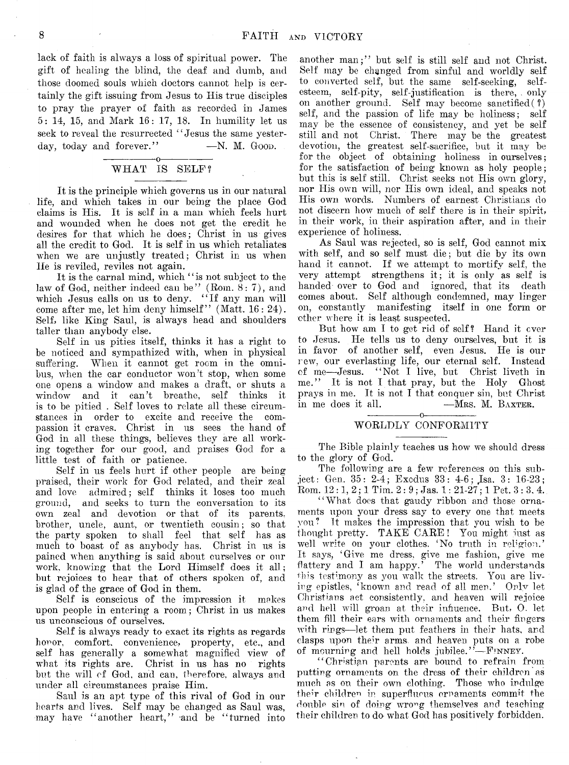lack of faith is always a loss of spiritual power. The gift of healing the blind, the deaf and dumb, and those doomed souls which doctors cannot help is certainly the gift issuing from Jesus to His true disciples to pray the prayer of faith as recorded in James 5: 14, 15, and Mark 16: 17, 18. In humility let us seek to reveal the resurrected "Jesus the same yesterday, today and forever." - N. M. Good.

#### -----------------o-----------------  $WHAT$  IS SELF?

It is the principle which governs us in our natural life, and which takes in our being the place God claims is His. It is self in a man which feels hurt and wounded when he does not get the credit he desires for that which he does; Christ in us gives all the credit to God. It is self in us which retaliates when we are unjustly treated; Christ in us when He is reviled, reviles not again.

It is the carnal mind, which "is not subject to the law of God, neither indeed can be" (Rom.  $8:7$ ), and which Jesus calls on us to deny. "If any man will come after me, let him deny himself" (Matt. 16: 24). Self, like King Saul, is always head and shoulders taller than anybody else.

Self in us pities itself, thinks it has a right to be noticed and sympathized with, when in physical suffering. When it cannot get room in the omnibus, when the ear conductor won't stop, when some one opens a window and makes a draft, or shuts a window and it can't breathe, self thinks it is to be pitied . Self loves to relate all these circumstances in order to excite and receive the compassion it craves. Christ in us sees the hand of God in all these things, believes they are all working together for our good, and praises God for a little test of faith or patience.

Self in us feels hurt if other people are being praised, their work for God related, and their zeal and love admired; self thinks it loses too much ground, and seeks to turn the conversation to its own zeal and devotion or that of its parents, brother, uncle, aunt, or twentieth cousin; so that the party spoken to shall feel that self has as much to boast of as anybody has. Christ in us is pained when anything is said about ourselves or our work, knowing that the Lord Himself does it all; but rejoices to hear that of others spoken of, and is glad of the grace of God in them.

Self is conscious of the impression it mokes upon people in entering a room ; Christ in us makes us unconscious of ourselves.

Self is always ready to exact its rights as regards honor, comfort, convenience, property, etc., and self has generally a somewhat magnified view of what its rights are. Christ in us has no rights but the will of God, and can, therefore, always and under all circumstances praise Him.

Saul is an apt type of this rival of God in our hearts and lives. Self may be changed as Saul was, may have "another heart," and be "turned into

another man;" but self is still self and not Christ. Self may be changed from sinful and worldly self to converted self, but the same self-seeking, selfesteem, self-pity, self-justification is there, . only on another ground. Self may become sanctified  $(?)$ self, and the passion of life may be holiness; self may be the essence of consistency, and yet be self still and not Christ. There may be the greatest devotion, the greatest self-sacrifice, but it may be for the object of obtaining holiness in ourselves; for the satisfaction of being known as holy people; but this is self still. Christ seeks not His own glory, nor His own will, nor His own ideal, and speaks not His own words. Numbers of earnest Christians do not discern how much of self there is in their spirit, in their work, in their aspiration after, and in their experience of holiness.

As Saul was rejected, so is self, God cannot mix with self, and so self must die; but die by its own hand it cannot. If we attempt to mortify self, the very attempt strengthens it; it is only as self is handed over to God and ignored, that its death comes about. Self although condemned, may linger on, constantly manifesting itself in one form or other where it is least suspected.

But how am I to get rid of self? Hand it over to Jesus. He tells us to deny ourselves, but it is in favor of another self, even Jesus. He is our new, our everlasting life, our eternal self. Instead of me— Jesus. 44 Not I live, but Christ liveth in me." It is not I that pray, but the Holy Ghost prays in me. It is not I that conquer sin, but Christ in me does it all. — MRS. M. BAXTER.

#### ---------------- o----------------- WORLDLY CONFORMITY

The Bible plainly teaches us how we should dress to the glory of God.

The following are a few references on this subject : Gen. 35: 2-4; Exodus 33: 4-6; Jsa. 3: 16-23; Rom.  $12:1, 2; 1$  Tim.  $2:9;$  Jas.  $1: 21-27; 1$  Pet.  $3:3, 4$ .

"What does that gaudy ribbon and those ornaments upon your dress say to every one that meets you?\* It makes the impression that you wish to be thought pretty. TAKE CARE ! You might just as well write on your clothes. 'No truth in religion.' It says, 'Give me dress, give me fashion, give me flattery and I am happy.' The world understands this testimony as you walk the streets. You are living epistles, <sup>*t*</sup>known and read of all men.' Only let Christians act consistently, and heaven will rejoice and hell will groan at their influence. But, 0. let them fill their ears with ornaments and their fingers with rings—let them put feathers in their hats, and clasps upon their arms, and heaven puts on a robe of mourning and hell holds jubilee." $-F$ INNEY.

44 Christian parents are bound to refrain from putting ornaments on the dress of their children as much as on their own clothing. Those who indulge their children in superfluous ornaments commit the double sin of doing wrong themselves and teaching their children to do what God has positively forbidden.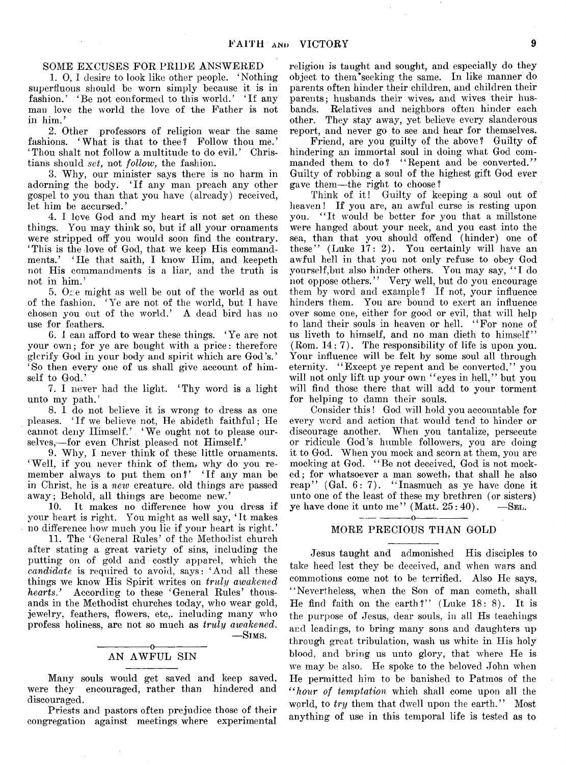# SOME EXCUSES FOR PRIDE ANSWERED

1. 0, I desire to look like other people. 'Nothing superfluous should be worn simply because it is in fashion.' 'Be not conformed to this world.' 'If any man love the world the love of the Father is not in him.'

2. Other professors of religion wear the same fashions. 'What is that to thee? Follow thou me.' ' Thou shalt not follow a multitude to do evil. ' Christians should *set,* not *follow,* the fashion.

3. Why, our minister says there is no harm in adorning the body. 'If any man preach any other gospel to you than that you have (already) received, let him be accursed.'

4. I love God and my heart is not set on these things. You may think so, but if all your ornaments were stripped off you would soon find the contrary. ' This is the love of God, that we keep His commandments/ 'He that saith, I know Him, and keepeth not His commandments is a liar, and the truth is not in him.'

5. Ore might as well be out of the world as out of the fashion. 'Ye are not of the world, but I have chosen you out of the world.' A dead bird has no use for feathers.

6. I can afford to wear these things. 'Ye are not your own; for ye are bought with a price: therefore glerify God in your body and spirit which are God's.' 'So then every one of us shall give account of himself to God.'

7. I never had the light. 'Thy word is a light unto my path.'

8. I do not believe it is wrong to dress as one pleases. 'If we believe not, He abideth faithful; He cannot deny Himself.' ' We ought not to please ourselves,-for even Christ pleased not Himself.'

9. Why, I never think of these little ornaments. 'Well, if you never think of them, why do you remember always to put them on?' 'If any man be in Christ, he is a *new* creature, old things are passed

away; Behold, all things are become new.' It makes no difference how you dress if your heart is right. You might as well say, 'It makes no difference how much you lie if your heart is right.'

11. The 'General Rules' of the Methodist church after stating a great variety of sins, including the putting on of gold and costly apparel, which the *candidate* is required to avoid, says: 'And all these things we know His Spirit writes on *truly awakened hearts*/ According to these 'General Rules' thousands in the Methodist churches today, who wear gold, jewelry, feathers, flowers, etc., including many who profess holiness, are not so much as *truly awakened.* — Sims.

#### $-0$ AN AWFUL SIN

Many souls would get saved and keep saved, were they encouraged, rather than hindered and discouraged.

Priests and pastors often prejudice those of their congregation against meetings where experimental

religion is taught and sought, and especially do they object to then/seeking the same. In like manner do parents often hinder their children, and children their parents; husbands their wives, and wives their husbands. Relatives and neighbors often hinder each other. They stay away, yet believe every slanderous report, and never go to see and hear for themselves.

Friend, are you guilty of the above? Guilty of hindering an immortal soul in doing what God commanded them to do? "Repent and be converted." Guilty of robbing a soul of the highest gift God ever gave them—the right to choose?

Think of it! Guilty of keeping a soul out of heaven! If you are, an awful curse is resting upon you. "It would be better for you that a millstone were hanged about your neck, and you cast into the sea, than that you should offend (hinder) one of these" (Luke 17: 2). You certainly will have an awful hell in that you not only refuse to obey God yourself,but also hinder others. You may say, " I do not oppose others." Very well, but do you encourage them by word and example? If not, your influence hinders them. You are bound to exert an influence over some one, either for good or evil, that will help to land their souls in heaven or hell. "For none of us liveth to himself, and no man dieth to himself" (Rom. 14: 7). The responsibility of life is upon you. Your influence will be felt by some soul all through eternity. "Except ye repent and be converted," you will not only lift up your own "eyes in hell," but you will find those there that will add to your torment for helping to damn their souls.

Consider this! God will hold you accountable for every word and action that would tend to hinder or discourage another. When you tantalize, persecute or ridicule God's humble followers, you are doing it to God. When you mock and scorn at them, you are mocking at God. "Be not deceived, God is not mocked; for whatsoever a man soweth, that shall he also reap" (Gal. 6: 7). "Inasmuch as ye have done it unto one of the least of these my brethren (or sisters) ye have done it unto me'' (Matt.  $25:40$ ).  $-$ SEL.  $-0-$ 

# MORE PRECIOUS THAN GOLD

Jesus taught and admonished His disciples to take heed lest they be deceived, and when wars and commotions come not to be terrified. Also He says, "Nevertheless, when the Son of man cometh, shall He find faith on the earth?" (Luke  $18: 8$ ). It is the purpose of Jesus, dear souls, in all Hs teachings and leadings, to bring many sons and daughters up through, great tribulation, wash us white in His holy blood, and bring us unto glory, that where He is we may be also. He spoke to the beloved John when He permitted him to be banished to Patmos of the *" hour of temptation* which shall come upon all the world, to *try* them that dwell upon the earth." Most anything of use in this temporal life is tested as to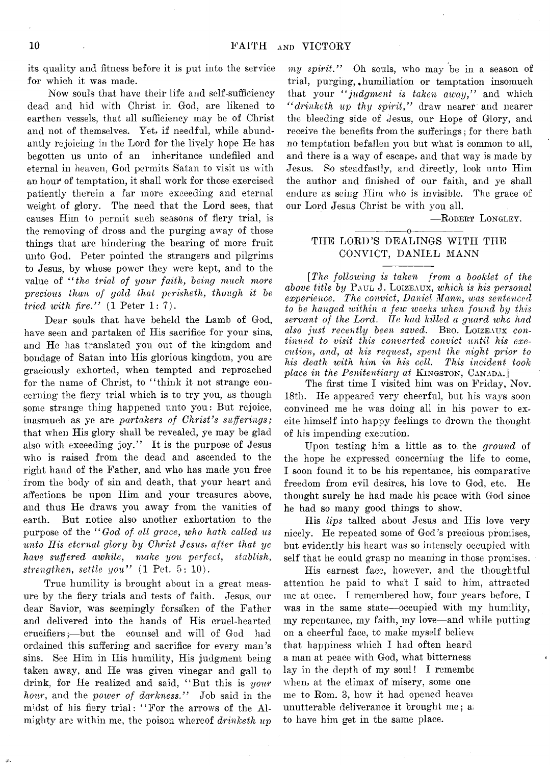its quality and fitness before it is put into the service for which it was made.

Now souls that have their life and self-sufficiency dead and hid with Christ in God, are likened to earthen vessels, that all sufficiency may be of Christ and not of themselves. Yet, if needful, while abundantly rejoicing in the Lord for the lively hope He has begotten us unto of an inheritance undefiled and eternal in heaven, God permits Satan to visit us with an hour of temptation, it shall work for those exercised patiently therein a far more exceeding and eternal weight of glory. The need that the Lord sees, that causes Him to permit such seasons of fiery trial, is the removing of dross and the purging away of those things that are hindering the bearing of more fruit unto God. Peter pointed the strangers and pilgrims to Jesus, by whose power they were kept, and to the value of *" the trial of your faith, being much more precious than of gold that perisheth, though it be tried with fire.*" (1 Peter 1:7).

Dear souls that have beheld the Lamb of God, have seen and partaken of His sacrifice for your sins, and He has translated you out of the kingdom and bondage of Satan into His glorious kingdom, you are graciously exhorted, when tempted and reproached for the name of Christ, to "think it not strange concerning the fiery trial which is to try you, as though some strange thing happened unto you: But rejoice, inasmuch as ye are *partakers of Christ's sufferings;* that when His glory shall be revealed, ye may be glad also with exceeding joy." It is the purpose of Jesus who is raised from the dead and ascended to the right hand of the Father, and who has made you free from the body of sin and death, that your heart and affections be upon Him and your treasures above, and thus He draws you away from the vanities of earth. But notice also another exhortation to the purpose of the " *God of all grace, who hath called us unto His eternal glory by Christ Jesus*, *after that ye have suffered awhile, make you perfect, stablish, strengthen, settle you"* (1 Pet. 5: 10).

True humility is brought about in a great measure by the fiery trials and tests of faith. Jesus, our dear Savior, was seemingly forsaken of the Father and delivered into the hands of His cruel-hearted crueifiers;— but the counsel and will of God had ordained this suffering and sacrifice for every man's sins. See Him in Ilis humility, His judgment being taken away, and He was given vinegar and gall to drink, for He realized and said, " But this is *your hour*, and the *power of darkness."* Job said in the midst of his fiery trial: " For the arrows of the Almighty are within me, the poison whereof *drinketh up*

*my spirit."* Oh souls, who may be in a season of trial, purging,, humiliation or temptation insomuch that your *" judgment is taken away,"* and which *" drinketh up thy spirit,"* draw nearer and nearer the bleeding side of Jesus, our Hope of Glory, and receive the benefits from the sufferings; for there hath no temptation befallen you but what is common to all, and there is a way of escape, and that way is made by Jesus. So steadfastly, and directly, look unto Him the author and finished of our faith, and ye shall endure as seing Him who is invisible. The grace of our Lord Jesus Christ be with you all.

— Robert Longley.

# ---------------- o----------------- THE LORD'S DEALINGS WITH THE CONVICT, DANIEL MANN

*[The following is taken from a booklet of the above title by* Paul J. Loizeaux, *which is his personal experience. The convict, Daniel Mann, was sentenced, to be hanged within a few weeks when found by this servant of the Lord. Tie had killed a guard who had also just recently been saved.* Bko. Loizeaux *continued to visit this converted convict until his execution, and, at his request, spent the night prior to his death with him in his cell. This incident took place in the Penitentiary at KINGSTON, CANADA.*]

The first time I visited him was on Friday, Nov. 18th. He appeared very cheerful, but his ways soon convinced me he was doing all in his power to excite himself into happy feelings to drown the thought of his impending execution.

Upon testing him a little as to. the *ground* of the hope he expressed concerning the life to come, I soon found it to be his repentance, his comparative freedom from evil desires, his love to God, etc. He thought surely he had made his peace with God since he had so many good things to show.

His *Ups* talked about Jesus and His love very nicely. He repeated some of God's precious promises, but evidently his heart was so intensely occupied with self that he could grasp no meaning in those promises.

His earnest face, however, and the thoughtful attention he paid to what I said to him, attracted me at once. I remembered how, four years before, I was in the same state— occupied with my humility, my repentance, my faith, my love—and while putting on a cheerful face, to make myself believe that happiness which I had often heard a man at peace with God, what bitterness lay in the depth of my soul! I remembe when, at the climax of misery, some one me to Rom. 3, how it had opened heaver unutterable deliverance it brought me; ai to have him get in the same place.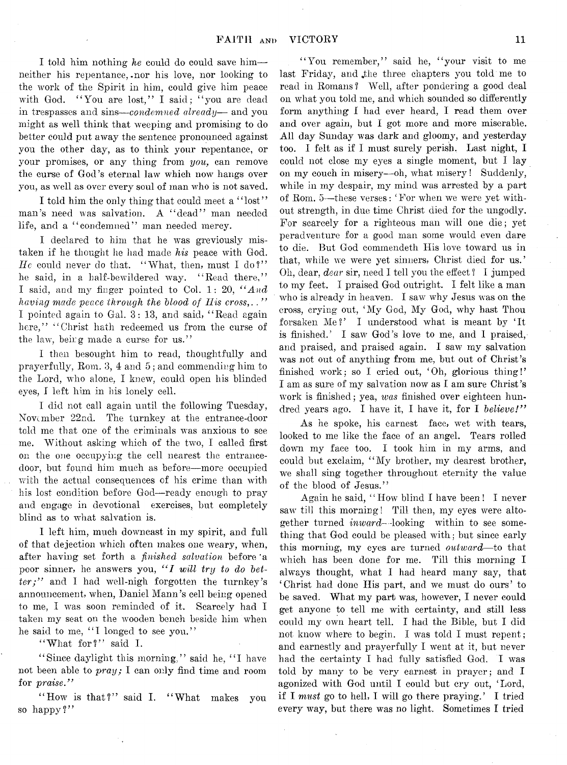I told him nothing *he* could do could save him—• neither his repentance,-nor his love, nor looking to the work of the Spirit in him, could give him peace with God. "You are lost," I said; "you are dead in trespasses and sins— *condemned already*— and you might as well think that weeping and promising to do better could put away the sentence pronounced against you the other day, as to think your repentance, or your promises, or any thing from *you,* can remove the curse of God's eternal law which now hangs over you, as well as over every soul of man who is not saved.

I told him the only thing that could meet a "lost" man's need was salvation. A " dead" man needed life, and a "condemned" man needed mercy.

I declared to him that he was greviously mistaken if he thought he had made *his* peace with God.  $He$  could never do that. "What, then, must I do?" he said, in a half-bewildered way. "Read there," I said, and my finger pointed to Col. 1: 20, " *And having made peace through the Mood of His cross,.* . *"* I pointed again to Gal. 3: 13, and said, " Read again here," "Christ hath redeemed us from the curse of the law, being made a curse for us."

I then besought him to read, thoughtfully and prayerfully, Rom. 3, 4 and 5; and commending him to the Lord, who alone, I knew, could open his blinded eyes, I left him in his lonely cell.

1 did not call again until the following Tuesday, November 22nd. The turnkey at the entrance-door told me that one of the criminals was anxious to see me. Without asking which of the two, I called first on the one occupying the cell nearest the entrancedoor, but found him much as before— more occupied with the actual consequences of his crime than with his lost condition before God—ready enough to pray and engage in devotional exercises, but completely blind as to what salvation is.

I left him, much downcast in my spirit, and full of that dejection which often makes one weary, when, after having set forth a *finished salvation* before \*a poor sinner, he answers you, "I will try to do bet*ter; "* and I had well-nigh forgotten the turnkey's announcement, when, Daniel Mann's cell being opened to me, I was soon reminded of it. Scarcely had I taken my seat on the wooden bench beside him when he said to me, "I longed to see you."

" What for?" said I.

"Since daylight this morning," said he, "I have not been able to *pray;* I can only find time and room for *praise."*

" How is that?" said I. " What makes you so happy?"

"You remember," said he, "your visit to me last Friday, and the three chapters you told me to read in Romans? Well, after pondering a good deal on what you told me, and which sounded so differently form anything I had ever heard, I read them over and over again, but I got more and more miserable. All day Sunday was dark and gloomy, and yesterday too. I felt as if I must surely perish. Last night, I could not close my eyes a single moment, but I lay on my couch in misery— oh, what misery! Suddenly, while in my despair, my mind was arrested by a part of Rom. 5— these verses: ' For when we were yet without strength, in due time Christ died for the ungodly. For scarcely for a righteous man will one die; yet peradventure for a good man some would even dare to die. But God commendeth His love toward us in that, while we were yet sinners, Christ died for us.' Oh, dear, *dear* sir, need I tell you the effect ? I jumped to my feet. I praised God outright. I felt like a man who is already in heaven. I saw why Jesus was on the cross, crying out, ' My God, My God, why hast Thou forsaken Me?' I understood what is meant by 'It is finished.' I saw God's love to me, and I praised, and praised, and praised again. I saw my salvation was not out of anything from me, but out of Christ's finished work; so I cried out, 'Oh, glorious thing!' I am as sure of my salvation now as I am sure Christ's work is finished; yea, *ivas* finished over eighteen hundred years ago. I have it, I have it, for I *believe!"*

As he spoke, his earnest face, wet with tears, looked to me like the face of an angel. Tears rolled down my face too. I took him in my arms, and could but exclaim, "My brother, my dearest brother, we shall sing together throughout eternity the value of the blood of Jesus."

Again he said, " How blind I have been! I never saw till this morning! Till then, my eyes were altogether turned *inward-*-looking within to see something that God could be pleased with; but since early this morning, my eyes are turned *outward*—to that which has been done for me. Till this morning I always thought, what I had heard many say, that ' Christ had done His part, and we must do ours' to be saved. What my part was, however, I never could get anyone to tell me with certainty, and still less could my own heart tell. I had the Bible, but I did not know where to begin. I was told I must repent; and earnestly and prayerfully I went at it, but never had the certainty I had fully satisfied God. I was told by many to be very earnest in prayer; and I agonized with God until I could but cry out, 'Lord, if I *must* go to hell, I will go there praying.' I tried every way, but there was no light. Sometimes I tried